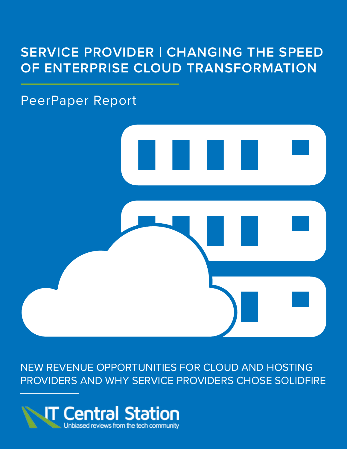## **SERVICE PROVIDER | CHANGING THE SPEED OF ENTERPRISE CLOUD TRANSFORMATION**

### PeerPaper Report



NEW REVENUE OPPORTUNITIES FOR CLOUD AND HOSTING PROVIDERS AND WHY SERVICE PROVIDERS CHOSE SOLIDFIRE

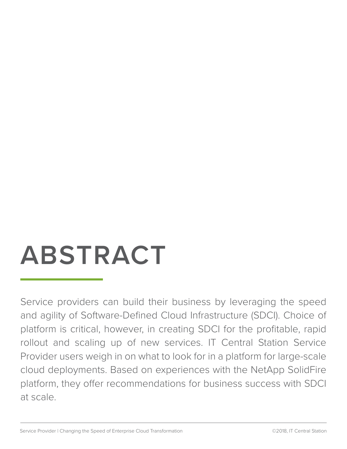# **ABSTRACT**

Service providers can build their business by leveraging the speed and agility of Software-Defined Cloud Infrastructure (SDCI). Choice of platform is critical, however, in creating SDCI for the profitable, rapid rollout and scaling up of new services. IT Central Station Service Provider users weigh in on what to look for in a platform for large-scale cloud deployments. Based on experiences with the NetApp SolidFire platform, they offer recommendations for business success with SDCI at scale.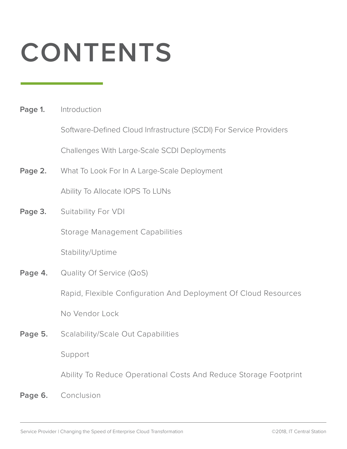# **CONTENTS**

**Page 1.** Introduction

Software-Defined Cloud Infrastructure (SCDI) For Service Providers

Challenges With Large-Scale SCDI Deployments

**Page 2.** What To Look For In A Large-Scale Deployment

Ability To Allocate IOPS To LUNs

**Page 3.** Suitability For VDI

Storage Management Capabilities

Stability/Uptime

**Page 4.** Quality Of Service (QoS)

Rapid, Flexible Configuration And Deployment Of Cloud Resources

No Vendor Lock

Page 5. Scalability/Scale Out Capabilities

Support

Ability To Reduce Operational Costs And Reduce Storage Footprint

**Page 6.** Conclusion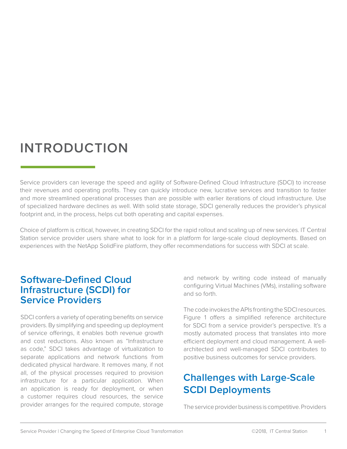## **INTRODUCTION**

Service providers can leverage the speed and agility of Software-Defined Cloud Infrastructure (SDCI) to increase their revenues and operating profits. They can quickly introduce new, lucrative services and transition to faster and more streamlined operational processes than are possible with earlier iterations of cloud infrastructure. Use of specialized hardware declines as well. With solid state storage, SDCI generally reduces the provider's physical footprint and, in the process, helps cut both operating and capital expenses.

Choice of platform is critical, however, in creating SDCI for the rapid rollout and scaling up of new services. IT Central Station service provider users share what to look for in a platform for large-scale cloud deployments. Based on experiences with the NetApp SolidFire platform, they offer recommendations for success with SDCI at scale.

#### **Software-Defined Cloud Infrastructure (SCDI) for Service Providers**

SDCI confers a variety of operating benefits on service providers. By simplifying and speeding up deployment of service offerings, it enables both revenue growth and cost reductions. Also known as "Infrastructure as code," SDCI takes advantage of virtualization to separate applications and network functions from dedicated physical hardware. It removes many, if not all, of the physical processes required to provision infrastructure for a particular application. When an application is ready for deployment, or when a customer requires cloud resources, the service provider arranges for the required compute, storage

and network by writing code instead of manually configuring Virtual Machines (VMs), installing software and so forth.

The code invokes the APIs fronting the SDCI resources. Figure 1 offers a simplified reference architecture for SDCI from a service provider's perspective. It's a mostly automated process that translates into more efficient deployment and cloud management. A wellarchitected and well-managed SDCI contributes to positive business outcomes for service providers.

### **Challenges with Large-Scale SCDI Deployments**

The service provider business is competitive. Providers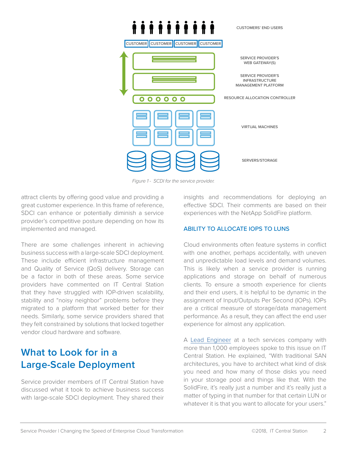

*Figure 1 - SCDI for the service provider.*

attract clients by offering good value and providing a great customer experience. In this frame of reference, SDCI can enhance or potentially diminish a service provider's competitive posture depending on how its implemented and managed.

There are some challenges inherent in achieving business success with a large-scale SDCI deployment. These include efficient infrastructure management and Quality of Service (QoS) delivery. Storage can be a factor in both of these areas. Some service providers have commented on IT Central Station that they have struggled with IOP-driven scalability, stability and "noisy neighbor" problems before they migrated to a platform that worked better for their needs. Similarly, some service providers shared that they felt constrained by solutions that locked together vendor cloud hardware and software.

### **What to Look for in a Large-Scale Deployment**

Service provider members of IT Central Station have discussed what it took to achieve business success with large-scale SDCI deployment. They shared their insights and recommendations for deploying an effective SDCI. Their comments are based on their experiences with the NetApp SolidFire platform.

#### ABILITY TO ALLOCATE IOPS TO LUNS

Cloud environments often feature systems in conflict with one another, perhaps accidentally, with uneven and unpredictable load levels and demand volumes. This is likely when a service provider is running applications and storage on behalf of numerous clients. To ensure a smooth experience for clients and their end users, it is helpful to be dynamic in the assignment of Input/Outputs Per Second (IOPs). IOPs are a critical measure of storage/data management performance. As a result, they can affect the end user experience for almost any application.

A [Lead Engineer](https://www.itcentralstation.com/product_reviews/solidfire-review-39996-by-engc2f9?tid=pdf_peerpaper) at a tech services company with more than 1,000 employees spoke to this issue on IT Central Station. He explained, "With traditional SAN architectures, you have to architect what kind of disk you need and how many of those disks you need in your storage pool and things like that. With the SolidFire, it's really just a number and it's really just a matter of typing in that number for that certain LUN or whatever it is that you want to allocate for your users."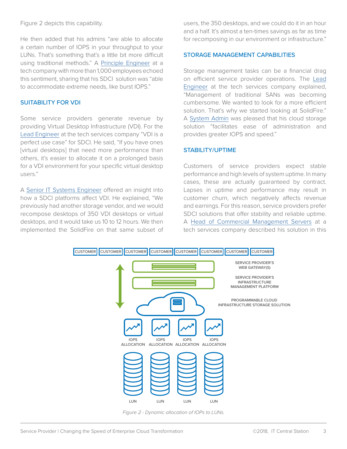Figure 2 depicts this capability.

He then added that his admins "are able to allocate a certain number of IOPS in your throughput to your LUNs. That's something that's a little bit more difficult using traditional methods." A [Principle Engineer](https://www.itcentralstation.com/product_reviews/solidfire-review-46494-by-principl4cf9?tid=pdf_peerpaper) at a tech company with more than 1,000 employees echoed this sentiment, sharing that his SDCI solution was "able to accommodate extreme needs, like burst IOPS."

#### SUITABILITY FOR VDI

Some service providers generate revenue by providing Virtual Desktop Infrastructure (VDI). For the [Lead Engineer](https://www.itcentralstation.com/product_reviews/solidfire-review-39996-by-engc2f9?tid=pdf_peerpaper) at the tech services company "VDI is a perfect use case" for SDCI. He said, "If you have ones [virtual desktops] that need more performance than others, it's easier to allocate it on a prolonged basis for a VDI environment for your specific virtual desktop users."

A [Senior IT Systems Engineer](https://www.itcentralstation.com/product_reviews/solidfire-review-46606-by-travis-zenk?tid=pdf_peerpaper) offered an insight into how a SDCI platforms affect VDI. He explained, "We previously had another storage vendor, and we would recompose desktops of 350 VDI desktops or virtual desktops, and it would take us 10 to 12 hours. We then implemented the SolidFire on that same subset of users, the 350 desktops, and we could do it in an hour and a half. It's almost a ten-times savings as far as time for recomposing in our environment or infrastructure."

#### STORAGE MANAGEMENT CAPABILITIES

Storage management tasks can be a financial drag on efficient service provider operations. The [Lead](https://www.itcentralstation.com/product_reviews/solidfire-review-39996-by-engc2f9?tid=pdf_peerpaper) [Engineer](https://www.itcentralstation.com/product_reviews/solidfire-review-39996-by-engc2f9?tid=pdf_peerpaper) at the tech services company explained, "Management of traditional SANs was becoming cumbersome. We wanted to look for a more efficient solution. That's why we started looking at SolidFire." A [System Admin](https://www.itcentralstation.com/product_reviews/solidfire-review-46659-by-carl-samuel?tid=pdf_peerpaper) was pleased that his cloud storage solution "facilitates ease of administration and provides greater IOPS and speed."

#### STABILITY/UPTIME

Customers of service providers expect stable performance and high levels of system uptime. In many cases, these are actually guaranteed by contract. Lapses in uptime and performance may result in customer churn, which negatively affects revenue and earnings. For this reason, service providers prefer SDCI solutions that offer stability and reliable uptime. A [Head of Commercial Management Servers](https://www.itcentralstation.com/product_reviews/solidfire-review-40003-by-alexander-vierschrodt?tid=pdf_peerpaper) at a tech services company described his solution in this



*Figure 2 - Dynamic allocation of IOPs to LUNs.*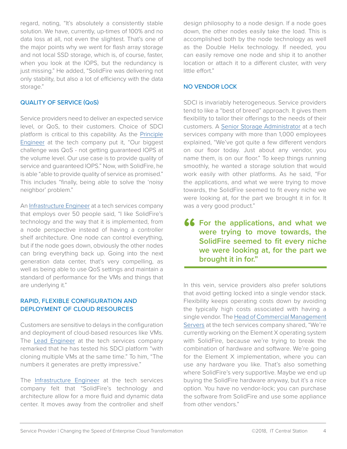regard, noting, "It's absolutely a consistently stable solution. We have, currently, up-times of 100% and no data loss at all, not even the slightest. That's one of the major points why we went for flash array storage and not local SSD storage, which is, of course, faster, when you look at the IOPS, but the redundancy is just missing." He added, "SolidFire was delivering not only stability, but also a lot of efficiency with the data storage."

#### QUALITY OF SERVICE (QoS)

Service providers need to deliver an expected service level, or QoS, to their customers. Choice of SDCI platform is critical to this capability. As the [Principle](https://www.itcentralstation.com/product_reviews/solidfire-review-46494-by-principl4cf9?tid=pdf_peerpaper) [Engineer](https://www.itcentralstation.com/product_reviews/solidfire-review-46494-by-principl4cf9?tid=pdf_peerpaper) at the tech company put it, "Our biggest challenge was QoS - not getting guaranteed IOPS at the volume level. Our use case is to provide quality of service and guaranteed IOPS." Now, with SolidFire, he is able "able to provide quality of service as promised." This includes "finally, being able to solve the 'noisy neighbor' problem."

An [Infrastructure Engineer](https://www.itcentralstation.com/product_reviews/solidfire-review-40104-by-patrick-carnathan?tid=pdf_peerpaper) at a tech services company that employs over 50 people said, "I like SolidFire's technology and the way that it is implemented, from a node perspective instead of having a controller shelf architecture. One node can control everything, but if the node goes down, obviously the other nodes can bring everything back up. Going into the next generation data center, that's very compelling, as well as being able to use QoS settings and maintain a standard of performance for the VMs and things that are underlying it."

#### RAPID, FLEXIBLE CONFIGURATION AND DEPLOYMENT OF CLOUD RESOURCES

Customers are sensitive to delays in the configuration and deployment of cloud-based resources like VMs. The [Lead Engineer](https://www.itcentralstation.com/product_reviews/solidfire-review-39996-by-engc2f9?tid=pdf_peerpaper) at the tech services company remarked that he has tested his SDCI platform "with cloning multiple VMs at the same time." To him, "The numbers it generates are pretty impressive."

The [Infrastructure Engineer](https://www.itcentralstation.com/product_reviews/solidfire-review-40104-by-patrick-carnathan?tid=pdf_peerpaper) at the tech services company felt that "SolidFire's technology and architecture allow for a more fluid and dynamic data center. It moves away from the controller and shelf

design philosophy to a node design. If a node goes down, the other nodes easily take the load. This is accomplished both by the node technology as well as the Double Helix technology. If needed, you can easily remove one node and ship it to another location or attach it to a different cluster, with very little effort."

#### NO VENDOR LOCK

SDCI is invariably heterogeneous. Service providers tend to like a "best of breed" approach. It gives them flexibility to tailor their offerings to the needs of their customers. A [Senior Storage Administrator](https://www.itcentralstation.com/product_reviews/solidfire-review-46655-by-steve-kulinski?tid=pdf_peerpaper) at a tech services company with more than 1,000 employees explained, "We've got quite a few different vendors on our floor today. Just about any vendor, you name them, is on our floor." To keep things running smoothly, he wanted a storage solution that would work easily with other platforms. As he said, "For the applications, and what we were trying to move towards, the SolidFire seemed to fit every niche we were looking at, for the part we brought it in for. It was a very good product."

**for the applications, and what we<br>
were trying to move towards, the<br>
<b>SolidFire seemed to fit every niche were trying to move towards, the SolidFire seemed to fit every niche we were looking at, for the part we brought it in for."**

In this vein, service providers also prefer solutions that avoid getting locked into a single vendor stack. Flexibility keeps operating costs down by avoiding the typically high costs associated with having a single vendor. The [Head of Commercial Management](https://www.itcentralstation.com/product_reviews/solidfire-review-40003-by-alexander-vierschrodt?tid=pdf_peerpaper) [Servers](https://www.itcentralstation.com/product_reviews/solidfire-review-40003-by-alexander-vierschrodt?tid=pdf_peerpaper) at the tech services company shared, "We're currently working on the Element X operating system with SolidFire, because we're trying to break the combination of hardware and software. We're going for the Element X implementation, where you can use any hardware you like. That's also something where SolidFire's very supportive. Maybe we end up buying the SolidFire hardware anyway, but it's a nice option. You have no vendor-lock; you can purchase the software from SolidFire and use some appliance from other vendors."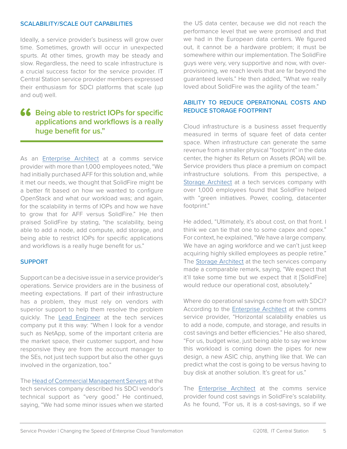#### SCALABILITY/SCALE OUT CAPABILITIES

Ideally, a service provider's business will grow over time. Sometimes, growth will occur in unexpected spurts. At other times, growth may be steady and slow. Regardless, the need to scale infrastructure is a crucial success factor for the service provider. IT Central Station service provider members expressed their enthusiasm for SDCI platforms that scale (up and out) well.

#### **66** Being able to restrict IOPs for specific applications and workflows is a really huge benefit for us." **applications and workflows is a really huge benefit for us."**

As an [Enterprise Architect](https://www.itcentralstation.com/product_reviews/solidfire-review-46615-by-steve-rennick?tid=pdf_peerpaper) at a comms service provider with more than 1,000 employees noted, "We had initially purchased AFF for this solution and, while it met our needs, we thought that SolidFire might be a better fit based on how we wanted to configure OpenStack and what our workload was; and again, for the scalability in terms of IOPs and how we have to grow that for AFF versus SolidFire." He then praised SolidFire by stating, "the scalability, being able to add a node, add compute, add storage, and being able to restrict IOPs for specific applications and workflows is a really huge benefit for us."

#### SUPPORT

Support can be a decisive issue in a service provider's operations. Service providers are in the business of meeting expectations. If part of their infrastructure has a problem, they must rely on vendors with superior support to help them resolve the problem quickly. The [Lead Engineer](https://www.itcentralstation.com/product_reviews/solidfire-review-39996-by-engc2f9?tid=pdf_peerpaper) at the tech services company put it this way: "When I look for a vendor such as NetApp, some of the important criteria are the market space, their customer support, and how responsive they are from the account manager to the SEs, not just tech support but also the other guys involved in the organization, too."

The [Head of Commercial Management Servers](https://www.itcentralstation.com/product_reviews/solidfire-review-40003-by-alexander-vierschrodt?tid=pdf_peerpaper) at the tech services company described his SDCI vendor's technical support as "very good." He continued, saying, "We had some minor issues when we started the US data center, because we did not reach the performance level that we were promised and that we had in the European data centers. We figured out, it cannot be a hardware problem; it must be somewhere within our implementation. The SolidFire guys were very, very supportive and now, with overprovisioning, we reach levels that are far beyond the guaranteed levels." He then added, "What we really loved about SolidFire was the agility of the team."

#### ABILITY TO REDUCE OPERATIONAL COSTS AND REDUCE STORAGE FOOTPRINT

Cloud infrastructure is a business asset frequently measured in terms of square feet of data center space. When infrastructure can generate the same revenue from a smaller physical "footprint" in the data center, the higher its Return on Assets (ROA) will be. Service providers thus place a premium on compact infrastructure solutions. From this perspective, a [Storage Architect](https://www.itcentralstation.com/product_reviews/solidfire-review-46660-by-storarch7689?tid=pdf_peerpaper) at a tech services company with over 1,000 employees found that SolidFire helped with "green initiatives. Power, cooling, datacenter footprint."

He added, "Ultimately, it's about cost, on that front. I think we can tie that one to some capex and opex." For context, he explained, "We have a large company. We have an aging workforce and we can't just keep acquiring highly skilled employees as people retire." The [Storage Architect](https://www.itcentralstation.com/product_reviews/solidfire-review-46660-by-storarch7689?tid=pdf_peerpaper) at the tech services company made a comparable remark, saying, "We expect that it'll take some time but we expect that it [SolidFire] would reduce our operational cost, absolutely."

Where do operational savings come from with SDCI? According to the [Enterprise Architect](https://www.itcentralstation.com/product_reviews/solidfire-review-46615-by-steve-rennick?tid=pdf_peerpaper) at the comms service provider, "Horizontal scalability enables us to add a node, compute, and storage, and results in cost savings and better efficiencies." He also shared, "For us, budget wise, just being able to say we know this workload is coming down the pipes for new design, a new ASIC chip, anything like that. We can predict what the cost is going to be versus having to buy disk at another solution. It's great for us."

The [Enterprise Architect](https://www.itcentralstation.com/product_reviews/solidfire-review-46615-by-steve-rennick?tid=pdf_peerpaper) at the comms service provider found cost savings in SolidFire's scalability. As he found, "For us, it is a cost-savings, so if we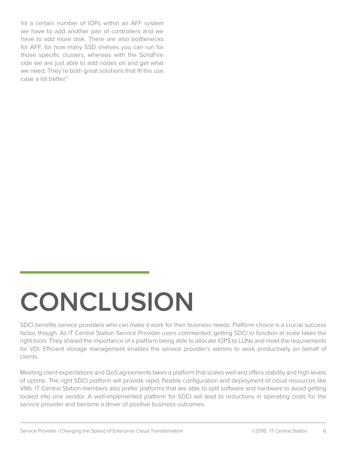hit a certain number of IOPs within an AFF system we have to add another pair of controllers and we have to add more disk. There are also bottlenecks for AFF, for how many SSD shelves you can run for those specific clusters, whereas with the SolidFire side we are just able to add nodes on and get what we need. They're both great solutions that fit the use case a lot better."

# **CONCLUSION**

SDCI benefits service providers who can make it work for their business needs. Platform choice is a crucial success factor, though. As IT Central Station Service Provider users commented, getting SDCI to function at scale takes the right tools. They shared the importance of a platform being able to allocate IOPS to LUNs and meet the requirements for VDI. Efficient storage management enables the service provider's admins to work productively on behalf of clients.

Meeting client expectations and QoS agreements takes a platform that scales well and offers stability and high levels of uptime. The right SDCI platform will provide rapid, flexible configuration and deployment of cloud resources like VMs. IT Central Station members also prefer platforms that are able to split software and hardware to avoid getting locked into one vendor. A well-implemented platform for SDCI will lead to reductions in operating costs for the service provider and become a driver of positive business outcomes.